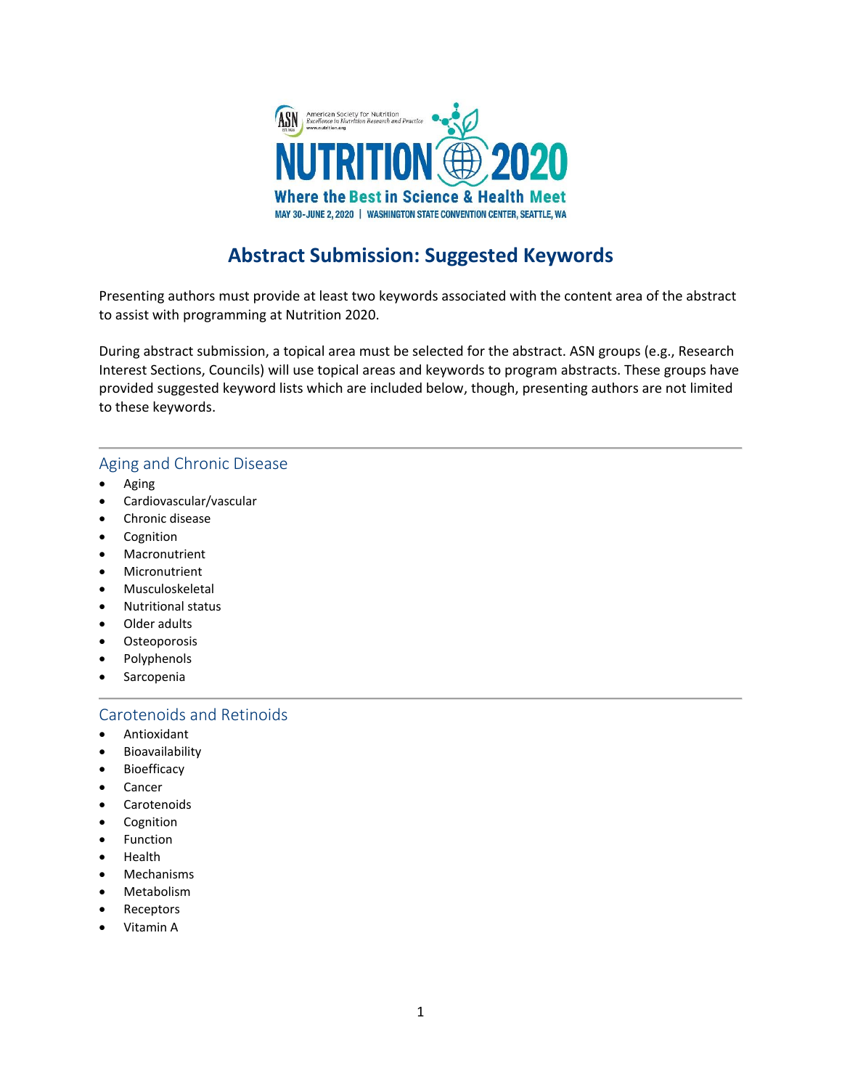

# **Abstract Submission: Suggested Keywords**

Presenting authors must provide at least two keywords associated with the content area of the abstract to assist with programming at Nutrition 2020.

During abstract submission, a topical area must be selected for the abstract. ASN groups (e.g., Research Interest Sections, Councils) will use topical areas and keywords to program abstracts. These groups have provided suggested keyword lists which are included below, though, presenting authors are not limited to these keywords.

#### Aging and Chronic Disease

- Aging
- Cardiovascular/vascular
- Chronic disease
- **Cognition**
- **Macronutrient**
- **Micronutrient**
- Musculoskeletal
- Nutritional status
- Older adults
- Osteoporosis
- Polyphenols
- **Sarcopenia**

#### Carotenoids and Retinoids

- Antioxidant
- **Bioavailability**
- **Bioefficacy**
- Cancer
- Carotenoids
- **Cognition**
- **Function**
- Health
- Mechanisms
- Metabolism
- **Receptors**
- Vitamin A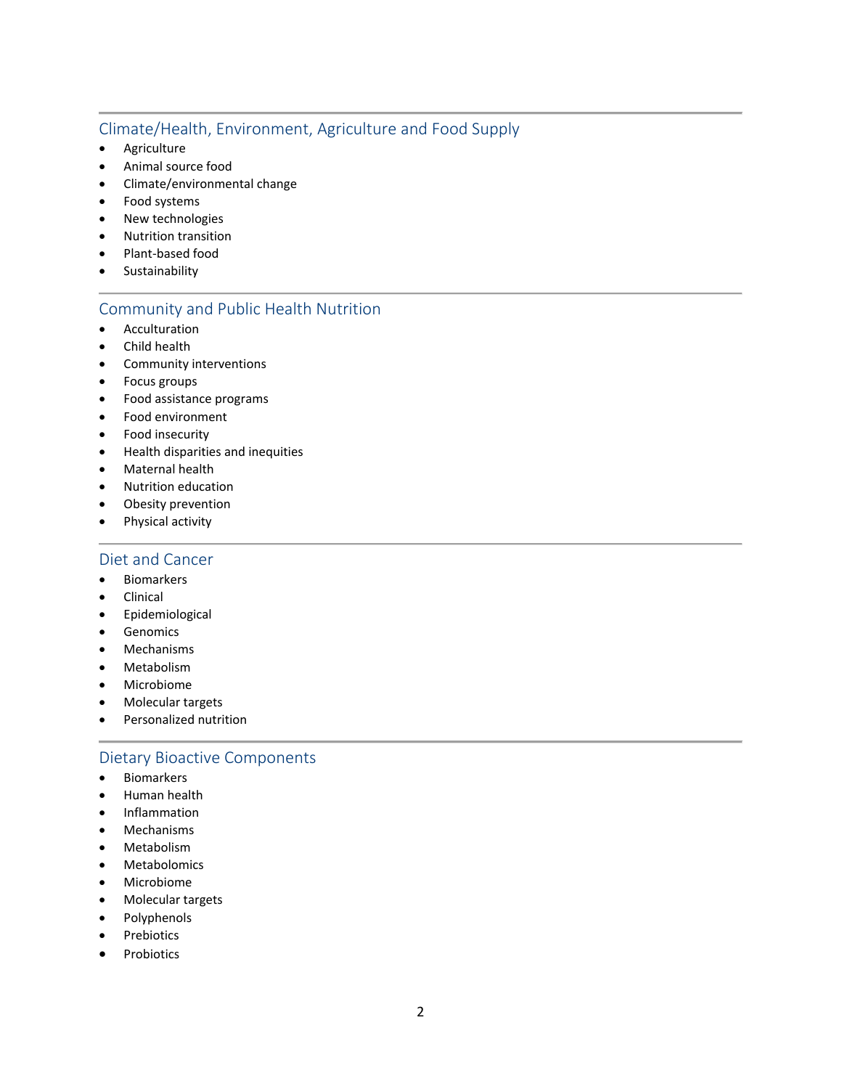## Climate/Health, Environment, Agriculture and Food Supply

- Agriculture
- Animal source food
- Climate/environmental change
- Food systems
- New technologies
- Nutrition transition
- Plant-based food
- Sustainability

## Community and Public Health Nutrition

- Acculturation
- Child health
- Community interventions
- Focus groups
- Food assistance programs
- Food environment
- Food insecurity
- Health disparities and inequities
- Maternal health
- Nutrition education
- Obesity prevention
- Physical activity

#### Diet and Cancer

- Biomarkers
- Clinical
- Epidemiological
- Genomics
- Mechanisms
- Metabolism
- Microbiome
- Molecular targets
- Personalized nutrition

## Dietary Bioactive Components

- Biomarkers
- Human health
- Inflammation
- Mechanisms
- Metabolism
- Metabolomics
- Microbiome
- Molecular targets
- Polyphenols
- Prebiotics
- **Probiotics**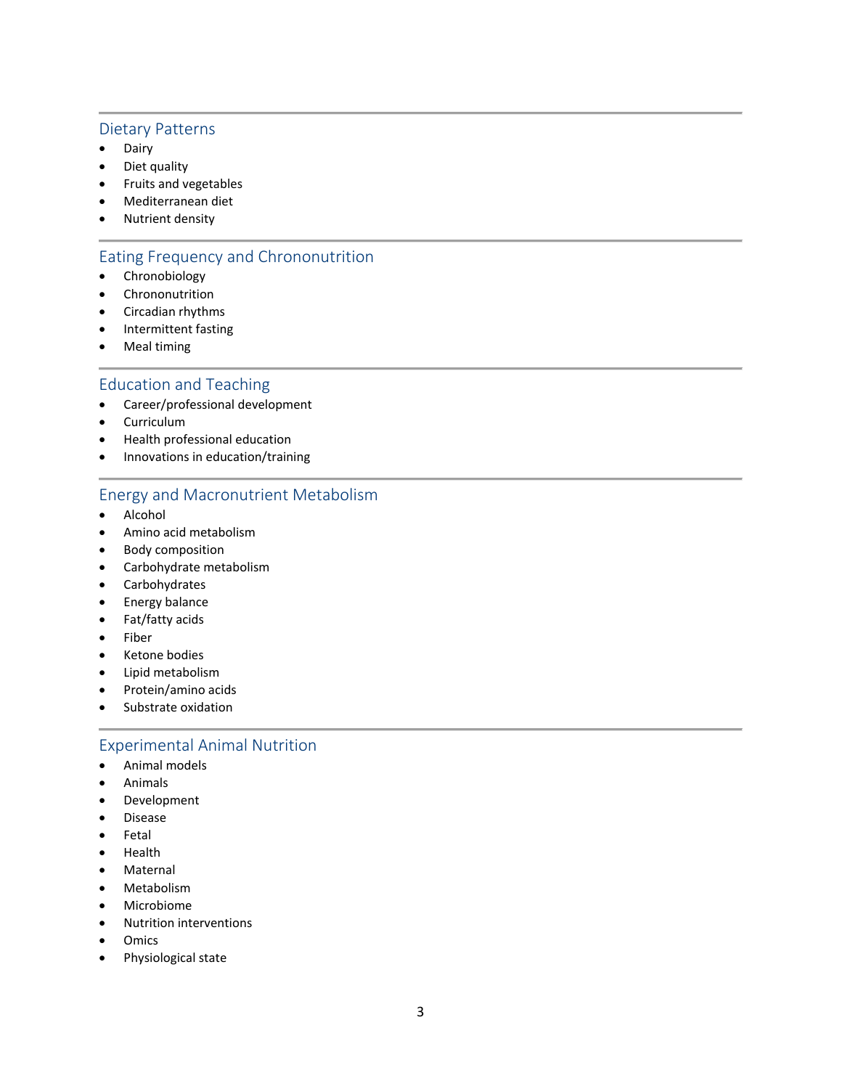#### Dietary Patterns

- Dairy
- Diet quality
- Fruits and vegetables
- Mediterranean diet
- Nutrient density

## Eating Frequency and Chrononutrition

- Chronobiology
- Chrononutrition
- Circadian rhythms
- Intermittent fasting
- Meal timing

#### Education and Teaching

- Career/professional development
- Curriculum
- Health professional education
- Innovations in education/training

# Energy and Macronutrient Metabolism

- Alcohol
- Amino acid metabolism
- Body composition
- Carbohydrate metabolism
- Carbohydrates
- Energy balance
- Fat/fatty acids
- Fiber
- Ketone bodies
- Lipid metabolism
- Protein/amino acids
- Substrate oxidation

#### Experimental Animal Nutrition

- Animal models
- Animals
- Development
- Disease
- Fetal
- Health
- Maternal
- Metabolism
- Microbiome
- Nutrition interventions
- Omics
- Physiological state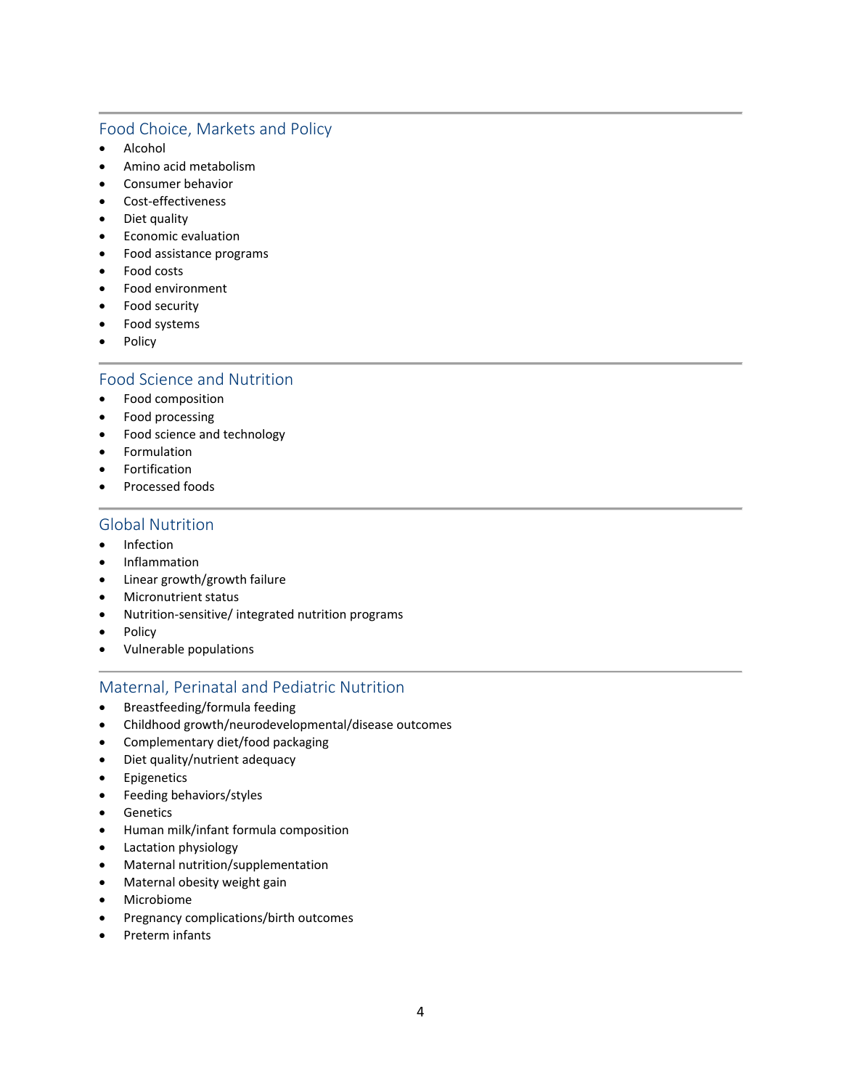## Food Choice, Markets and Policy

- Alcohol
- Amino acid metabolism
- Consumer behavior
- Cost-effectiveness
- Diet quality
- Economic evaluation
- Food assistance programs
- Food costs
- Food environment
- Food security
- Food systems
- Policy

#### Food Science and Nutrition

- Food composition
- Food processing
- Food science and technology
- **Formulation**
- **Fortification**
- Processed foods

#### Global Nutrition

- Infection
- Inflammation
- Linear growth/growth failure
- Micronutrient status
- Nutrition-sensitive/ integrated nutrition programs
- Policy
- Vulnerable populations

## Maternal, Perinatal and Pediatric Nutrition

- Breastfeeding/formula feeding
- Childhood growth/neurodevelopmental/disease outcomes
- Complementary diet/food packaging
- Diet quality/nutrient adequacy
- Epigenetics
- Feeding behaviors/styles
- Genetics
- Human milk/infant formula composition
- Lactation physiology
- Maternal nutrition/supplementation
- Maternal obesity weight gain
- Microbiome
- Pregnancy complications/birth outcomes
- Preterm infants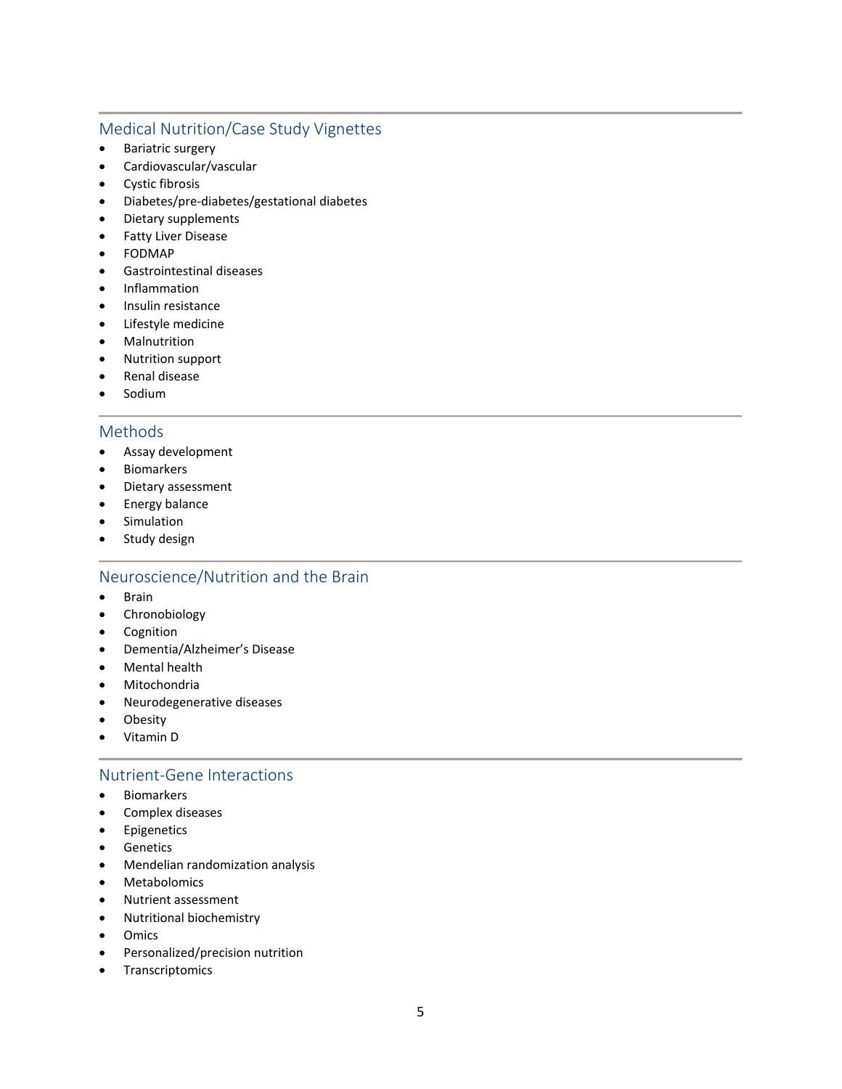## Medical Nutrition/Case Study Vignettes

- Bariatric surgery
- Cardiovascular/vascular
- Cystic fibrosis
- Diabetes/pre-diabetes/gestational diabetes
- Dietary supplements
- Fatty Liver Disease
- FODMAP
- Gastrointestinal diseases
- Inflammation
- Insulin resistance
- Lifestyle medicine
- **Malnutrition**
- Nutrition support
- Renal disease
- Sodium

#### Methods

- Assay development
- Biomarkers
- Dietary assessment
- Energy balance
- Simulation
- Study design

## Neuroscience/Nutrition and the Brain

- Brain
- Chronobiology
- Cognition
- Dementia/Alzheimer's Disease
- Mental health
- Mitochondria
- Neurodegenerative diseases
- Obesity
- Vitamin D

#### Nutrient-Gene Interactions

- Biomarkers
- Complex diseases
- Epigenetics
- Genetics
- Mendelian randomization analysis
- Metabolomics
- Nutrient assessment
- Nutritional biochemistry
- Omics
- Personalized/precision nutrition
- Transcriptomics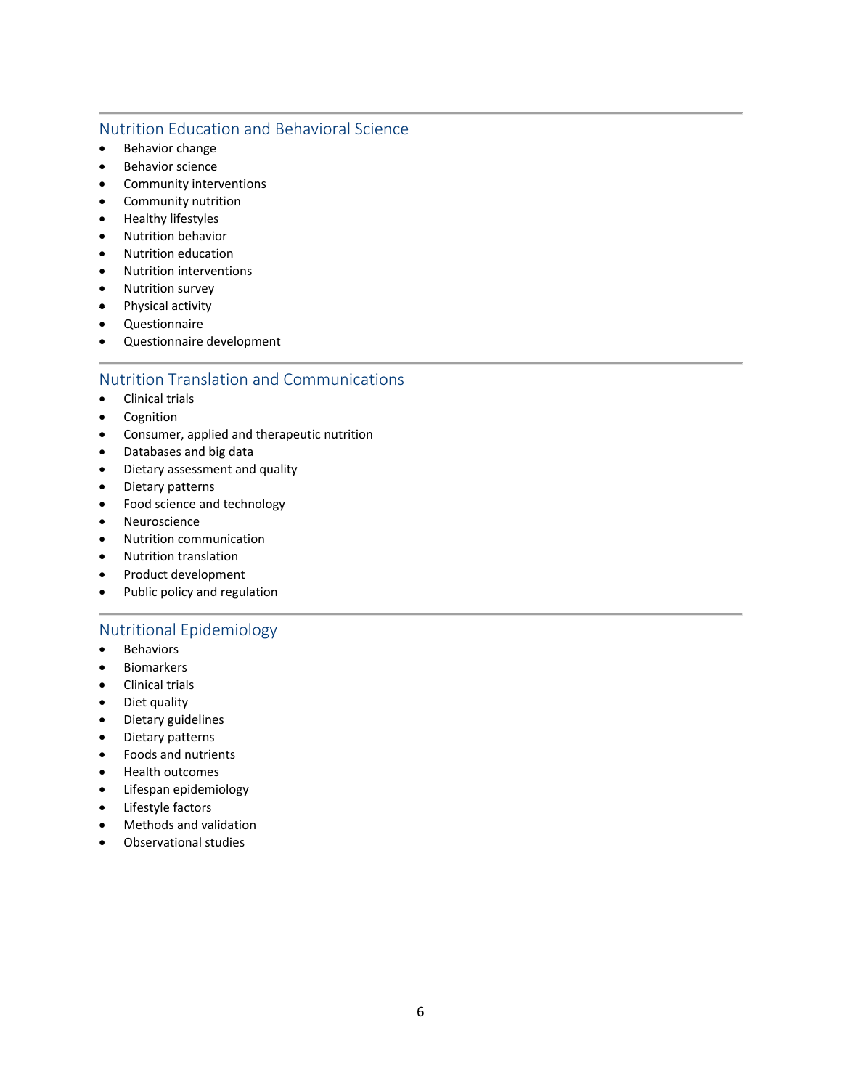## Nutrition Education and Behavioral Science

- Behavior change
- Behavior science
- Community interventions
- Community nutrition
- Healthy lifestyles
- Nutrition behavior
- Nutrition education
- Nutrition interventions
- Nutrition survey
- Physical activity
- Questionnaire
- Questionnaire development

#### Nutrition Translation and Communications

- Clinical trials
- Cognition
- Consumer, applied and therapeutic nutrition
- Databases and big data
- Dietary assessment and quality
- Dietary patterns
- Food science and technology
- Neuroscience
- Nutrition communication
- Nutrition translation
- Product development
- Public policy and regulation

## Nutritional Epidemiology

- Behaviors
- Biomarkers
- Clinical trials
- Diet quality
- Dietary guidelines
- Dietary patterns
- Foods and nutrients
- Health outcomes
- Lifespan epidemiology
- Lifestyle factors
- Methods and validation
- Observational studies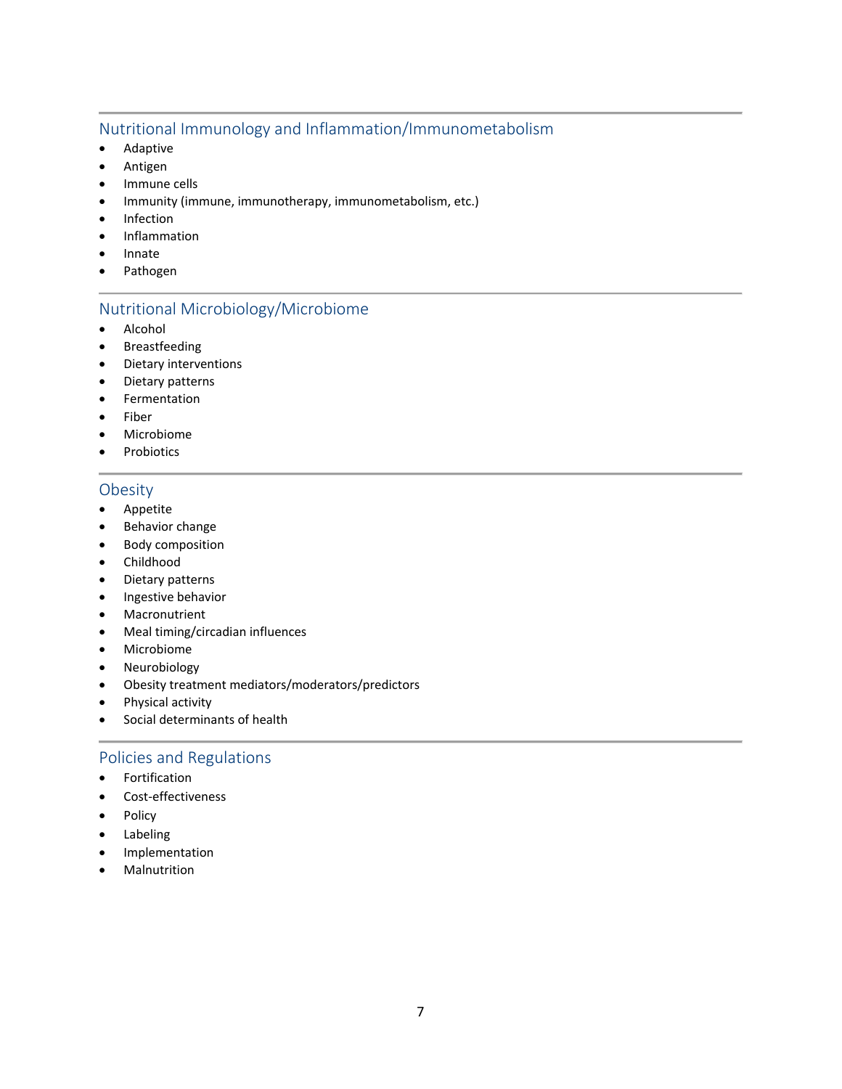## Nutritional Immunology and Inflammation/Immunometabolism

- Adaptive
- Antigen
- Immune cells
- Immunity (immune, immunotherapy, immunometabolism, etc.)
- Infection
- Inflammation
- Innate
- Pathogen

## Nutritional Microbiology/Microbiome

- Alcohol
- Breastfeeding
- Dietary interventions
- Dietary patterns
- Fermentation
- Fiber
- Microbiome
- Probiotics

## **Obesity**

- Appetite
- Behavior change
- Body composition
- Childhood
- Dietary patterns
- Ingestive behavior
- Macronutrient
- Meal timing/circadian influences
- Microbiome
- Neurobiology
- Obesity treatment mediators/moderators/predictors
- Physical activity
- Social determinants of health

## Policies and Regulations

- Fortification
- Cost-effectiveness
- Policy
- Labeling
- Implementation
- **Malnutrition**